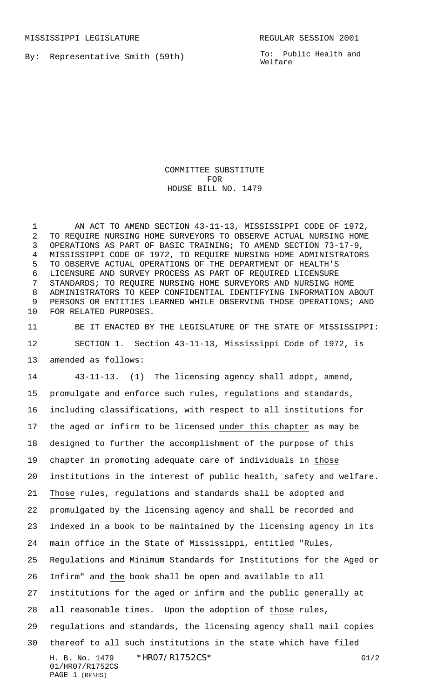By: Representative Smith (59th)

To: Public Health and Welfare

COMMITTEE SUBSTITUTE FOR HOUSE BILL NO. 1479

 AN ACT TO AMEND SECTION 43-11-13, MISSISSIPPI CODE OF 1972, TO REQUIRE NURSING HOME SURVEYORS TO OBSERVE ACTUAL NURSING HOME OPERATIONS AS PART OF BASIC TRAINING; TO AMEND SECTION 73-17-9, MISSISSIPPI CODE OF 1972, TO REQUIRE NURSING HOME ADMINISTRATORS TO OBSERVE ACTUAL OPERATIONS OF THE DEPARTMENT OF HEALTH'S LICENSURE AND SURVEY PROCESS AS PART OF REQUIRED LICENSURE STANDARDS; TO REQUIRE NURSING HOME SURVEYORS AND NURSING HOME ADMINISTRATORS TO KEEP CONFIDENTIAL IDENTIFYING INFORMATION ABOUT PERSONS OR ENTITIES LEARNED WHILE OBSERVING THOSE OPERATIONS; AND FOR RELATED PURPOSES.

 BE IT ENACTED BY THE LEGISLATURE OF THE STATE OF MISSISSIPPI: SECTION 1. Section 43-11-13, Mississippi Code of 1972, is amended as follows:

H. B. No. 1479 \* HRO7/R1752CS\* G1/2 01/HR07/R1752CS PAGE (RF\HS) 43-11-13. (1) The licensing agency shall adopt, amend, promulgate and enforce such rules, regulations and standards, including classifications, with respect to all institutions for the aged or infirm to be licensed under this chapter as may be designed to further the accomplishment of the purpose of this chapter in promoting adequate care of individuals in those institutions in the interest of public health, safety and welfare. Those rules, regulations and standards shall be adopted and promulgated by the licensing agency and shall be recorded and indexed in a book to be maintained by the licensing agency in its main office in the State of Mississippi, entitled "Rules, Regulations and Minimum Standards for Institutions for the Aged or Infirm" and the book shall be open and available to all institutions for the aged or infirm and the public generally at all reasonable times. Upon the adoption of those rules, regulations and standards, the licensing agency shall mail copies thereof to all such institutions in the state which have filed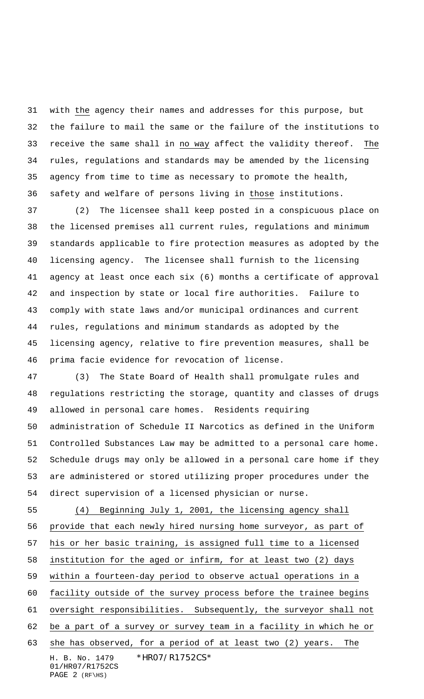with the agency their names and addresses for this purpose, but the failure to mail the same or the failure of the institutions to receive the same shall in no way affect the validity thereof. The rules, regulations and standards may be amended by the licensing agency from time to time as necessary to promote the health, safety and welfare of persons living in those institutions.

 (2) The licensee shall keep posted in a conspicuous place on the licensed premises all current rules, regulations and minimum standards applicable to fire protection measures as adopted by the licensing agency. The licensee shall furnish to the licensing agency at least once each six (6) months a certificate of approval and inspection by state or local fire authorities. Failure to comply with state laws and/or municipal ordinances and current rules, regulations and minimum standards as adopted by the licensing agency, relative to fire prevention measures, shall be prima facie evidence for revocation of license.

 (3) The State Board of Health shall promulgate rules and regulations restricting the storage, quantity and classes of drugs allowed in personal care homes. Residents requiring administration of Schedule II Narcotics as defined in the Uniform Controlled Substances Law may be admitted to a personal care home. Schedule drugs may only be allowed in a personal care home if they are administered or stored utilizing proper procedures under the direct supervision of a licensed physician or nurse.

H. B. No. 1479 \*HR07/R1752CS\* 01/HR07/R1752CS PAGE (RF\HS) (4) Beginning July 1, 2001, the licensing agency shall provide that each newly hired nursing home surveyor, as part of his or her basic training, is assigned full time to a licensed institution for the aged or infirm, for at least two (2) days within a fourteen-day period to observe actual operations in a facility outside of the survey process before the trainee begins oversight responsibilities. Subsequently, the surveyor shall not be a part of a survey or survey team in a facility in which he or she has observed, for a period of at least two (2) years. The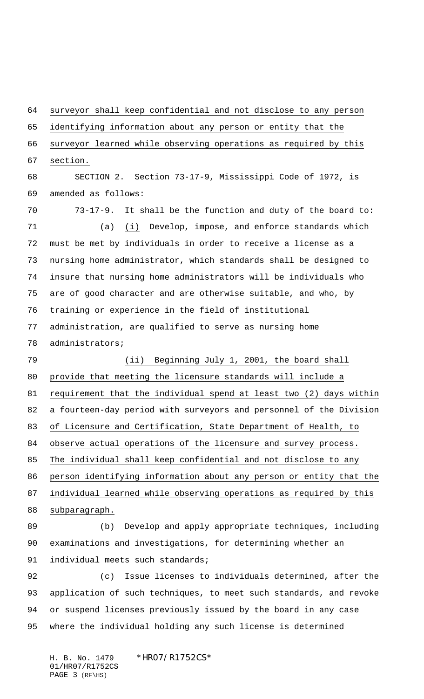surveyor shall keep confidential and not disclose to any person identifying information about any person or entity that the surveyor learned while observing operations as required by this section. SECTION 2. Section 73-17-9, Mississippi Code of 1972, is amended as follows: 73-17-9. It shall be the function and duty of the board to: (a) (i) Develop, impose, and enforce standards which must be met by individuals in order to receive a license as a nursing home administrator, which standards shall be designed to insure that nursing home administrators will be individuals who are of good character and are otherwise suitable, and who, by training or experience in the field of institutional administration, are qualified to serve as nursing home administrators; (ii) Beginning July 1, 2001, the board shall provide that meeting the licensure standards will include a 81 requirement that the individual spend at least two (2) days within a fourteen-day period with surveyors and personnel of the Division of Licensure and Certification, State Department of Health, to observe actual operations of the licensure and survey process. The individual shall keep confidential and not disclose to any person identifying information about any person or entity that the individual learned while observing operations as required by this subparagraph. (b) Develop and apply appropriate techniques, including examinations and investigations, for determining whether an 91 individual meets such standards; (c) Issue licenses to individuals determined, after the application of such techniques, to meet such standards, and revoke or suspend licenses previously issued by the board in any case

where the individual holding any such license is determined

H. B. No. 1479 \*HR07/R1752CS\* 01/HR07/R1752CS PAGE (RF\HS)